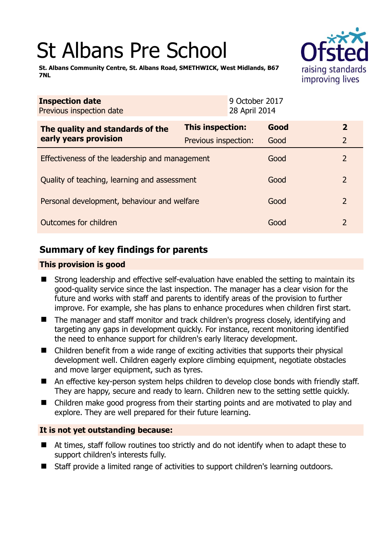# St Albans Pre School



**St. Albans Community Centre, St. Albans Road, SMETHWICK, West Midlands, B67 7NL** 

| <b>Inspection date</b><br>Previous inspection date        |                      | 9 October 2017<br>28 April 2014 |      |                |  |
|-----------------------------------------------------------|----------------------|---------------------------------|------|----------------|--|
| The quality and standards of the<br>early years provision | This inspection:     |                                 | Good | $\overline{2}$ |  |
|                                                           | Previous inspection: |                                 | Good | $\overline{2}$ |  |
| Effectiveness of the leadership and management            |                      |                                 | Good | 2              |  |
| Quality of teaching, learning and assessment              |                      |                                 | Good | 2              |  |
| Personal development, behaviour and welfare               |                      |                                 | Good | 2              |  |
| Outcomes for children                                     |                      |                                 | Good | $\overline{2}$ |  |

# **Summary of key findings for parents**

## **This provision is good**

- Strong leadership and effective self-evaluation have enabled the setting to maintain its good-quality service since the last inspection. The manager has a clear vision for the future and works with staff and parents to identify areas of the provision to further improve. For example, she has plans to enhance procedures when children first start.
- The manager and staff monitor and track children's progress closely, identifying and targeting any gaps in development quickly. For instance, recent monitoring identified the need to enhance support for children's early literacy development.
- Children benefit from a wide range of exciting activities that supports their physical development well. Children eagerly explore climbing equipment, negotiate obstacles and move larger equipment, such as tyres.
- An effective key-person system helps children to develop close bonds with friendly staff. They are happy, secure and ready to learn. Children new to the setting settle quickly.
- Children make good progress from their starting points and are motivated to play and explore. They are well prepared for their future learning.

## **It is not yet outstanding because:**

- At times, staff follow routines too strictly and do not identify when to adapt these to support children's interests fully.
- Staff provide a limited range of activities to support children's learning outdoors.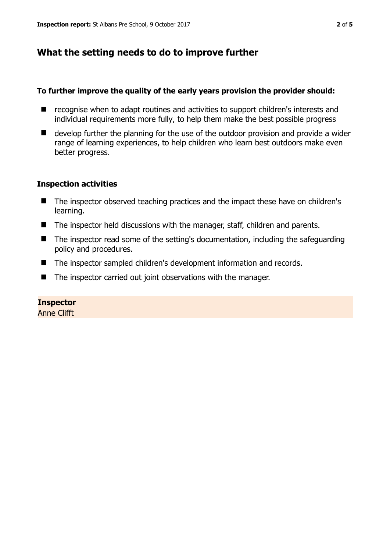# **What the setting needs to do to improve further**

#### **To further improve the quality of the early years provision the provider should:**

- recognise when to adapt routines and activities to support children's interests and individual requirements more fully, to help them make the best possible progress
- develop further the planning for the use of the outdoor provision and provide a wider range of learning experiences, to help children who learn best outdoors make even better progress.

#### **Inspection activities**

- The inspector observed teaching practices and the impact these have on children's learning.
- The inspector held discussions with the manager, staff, children and parents.
- The inspector read some of the setting's documentation, including the safeguarding policy and procedures.
- The inspector sampled children's development information and records.
- The inspector carried out joint observations with the manager.

## **Inspector**

Anne Clifft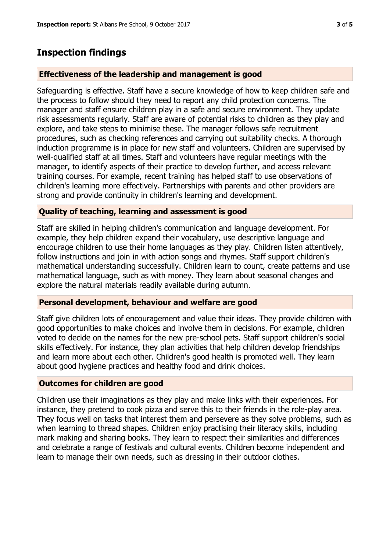## **Inspection findings**

#### **Effectiveness of the leadership and management is good**

Safeguarding is effective. Staff have a secure knowledge of how to keep children safe and the process to follow should they need to report any child protection concerns. The manager and staff ensure children play in a safe and secure environment. They update risk assessments regularly. Staff are aware of potential risks to children as they play and explore, and take steps to minimise these. The manager follows safe recruitment procedures, such as checking references and carrying out suitability checks. A thorough induction programme is in place for new staff and volunteers. Children are supervised by well-qualified staff at all times. Staff and volunteers have regular meetings with the manager, to identify aspects of their practice to develop further, and access relevant training courses. For example, recent training has helped staff to use observations of children's learning more effectively. Partnerships with parents and other providers are strong and provide continuity in children's learning and development.

#### **Quality of teaching, learning and assessment is good**

Staff are skilled in helping children's communication and language development. For example, they help children expand their vocabulary, use descriptive language and encourage children to use their home languages as they play. Children listen attentively, follow instructions and join in with action songs and rhymes. Staff support children's mathematical understanding successfully. Children learn to count, create patterns and use mathematical language, such as with money. They learn about seasonal changes and explore the natural materials readily available during autumn.

#### **Personal development, behaviour and welfare are good**

Staff give children lots of encouragement and value their ideas. They provide children with good opportunities to make choices and involve them in decisions. For example, children voted to decide on the names for the new pre-school pets. Staff support children's social skills effectively. For instance, they plan activities that help children develop friendships and learn more about each other. Children's good health is promoted well. They learn about good hygiene practices and healthy food and drink choices.

#### **Outcomes for children are good**

Children use their imaginations as they play and make links with their experiences. For instance, they pretend to cook pizza and serve this to their friends in the role-play area. They focus well on tasks that interest them and persevere as they solve problems, such as when learning to thread shapes. Children enjoy practising their literacy skills, including mark making and sharing books. They learn to respect their similarities and differences and celebrate a range of festivals and cultural events. Children become independent and learn to manage their own needs, such as dressing in their outdoor clothes.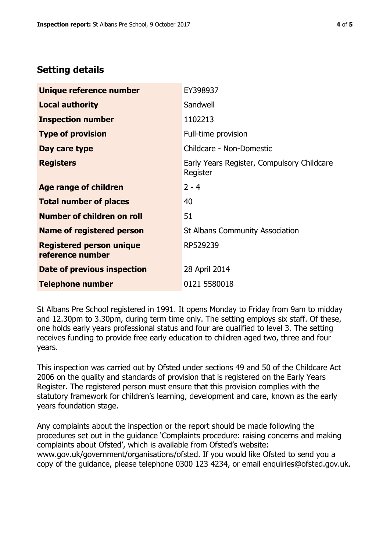# **Setting details**

| Unique reference number                             | EY398937                                               |  |
|-----------------------------------------------------|--------------------------------------------------------|--|
| <b>Local authority</b>                              | Sandwell                                               |  |
| <b>Inspection number</b>                            | 1102213                                                |  |
| <b>Type of provision</b>                            | Full-time provision                                    |  |
| Day care type                                       | Childcare - Non-Domestic                               |  |
| <b>Registers</b>                                    | Early Years Register, Compulsory Childcare<br>Register |  |
| Age range of children                               | $2 - 4$                                                |  |
| <b>Total number of places</b>                       | 40                                                     |  |
| Number of children on roll                          | 51                                                     |  |
| Name of registered person                           | <b>St Albans Community Association</b>                 |  |
| <b>Registered person unique</b><br>reference number | RP529239                                               |  |
| Date of previous inspection                         | 28 April 2014                                          |  |
| <b>Telephone number</b>                             | 0121 5580018                                           |  |

St Albans Pre School registered in 1991. It opens Monday to Friday from 9am to midday and 12.30pm to 3.30pm, during term time only. The setting employs six staff. Of these, one holds early years professional status and four are qualified to level 3. The setting receives funding to provide free early education to children aged two, three and four years.

This inspection was carried out by Ofsted under sections 49 and 50 of the Childcare Act 2006 on the quality and standards of provision that is registered on the Early Years Register. The registered person must ensure that this provision complies with the statutory framework for children's learning, development and care, known as the early years foundation stage.

Any complaints about the inspection or the report should be made following the procedures set out in the guidance 'Complaints procedure: raising concerns and making complaints about Ofsted', which is available from Ofsted's website: www.gov.uk/government/organisations/ofsted. If you would like Ofsted to send you a copy of the guidance, please telephone 0300 123 4234, or email enquiries@ofsted.gov.uk.